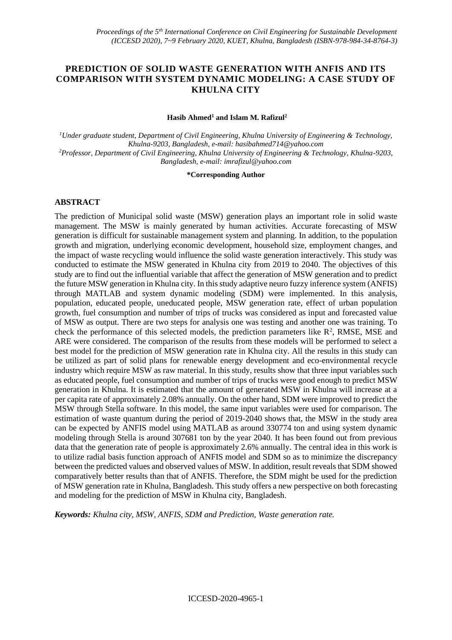# **PREDICTION OF SOLID WASTE GENERATION WITH ANFIS AND ITS COMPARISON WITH SYSTEM DYNAMIC MODELING: A CASE STUDY OF KHULNA CITY**

### **Hasib Ahmed<sup>1</sup> and Islam M. Rafizul<sup>2</sup>**

*<sup>1</sup>Under graduate student, Department of Civil Engineering, Khulna University of Engineering & Technology, Khulna-9203, Bangladesh, e-mail: hasibahmed714@yahoo.com <sup>2</sup>Professor, Department of Civil Engineering, Khulna University of Engineering & Technology, Khulna-9203, Bangladesh, e-mail: imrafizul@yahoo.com*

#### **\*Corresponding Author**

### **ABSTRACT**

The prediction of Municipal solid waste (MSW) generation plays an important role in solid waste management. The MSW is mainly generated by human activities. Accurate forecasting of MSW generation is difficult for sustainable management system and planning. In addition, to the population growth and migration, underlying economic development, household size, employment changes, and the impact of waste recycling would influence the solid waste generation interactively. This study was conducted to estimate the MSW generated in Khulna city from 2019 to 2040. The objectives of this study are to find out the influential variable that affect the generation of MSW generation and to predict the future MSW generation in Khulna city. In this study adaptive neuro fuzzy inference system (ANFIS) through MATLAB and system dynamic modeling (SDM) were implemented. In this analysis, population, educated people, uneducated people, MSW generation rate, effect of urban population growth, fuel consumption and number of trips of trucks was considered as input and forecasted value of MSW as output. There are two steps for analysis one was testing and another one was training. To check the performance of this selected models, the prediction parameters like  $\mathbb{R}^2$ , RMSE, MSE and ARE were considered. The comparison of the results from these models will be performed to select a best model for the prediction of MSW generation rate in Khulna city. All the results in this study can be utilized as part of solid plans for renewable energy development and eco-environmental recycle industry which require MSW as raw material. In this study, results show that three input variables such as educated people, fuel consumption and number of trips of trucks were good enough to predict MSW generation in Khulna. It is estimated that the amount of generated MSW in Khulna will increase at a per capita rate of approximately 2.08% annually. On the other hand, SDM were improved to predict the MSW through Stella software. In this model, the same input variables were used for comparison. The estimation of waste quantum during the period of 2019-2040 shows that, the MSW in the study area can be expected by ANFIS model using MATLAB as around 330774 ton and using system dynamic modeling through Stella is around 307681 ton by the year 2040. It has been found out from previous data that the generation rate of people is approximately 2.6% annually. The central idea in this work is to utilize radial basis function approach of ANFIS model and SDM so as to minimize the discrepancy between the predicted values and observed values of MSW. In addition, result reveals that SDM showed comparatively better results than that of ANFIS. Therefore, the SDM might be used for the prediction of MSW generation rate in Khulna, Bangladesh. This study offers a new perspective on both forecasting and modeling for the prediction of MSW in Khulna city, Bangladesh.

*Keywords: Khulna city, MSW, ANFIS, SDM and Prediction, Waste generation rate.*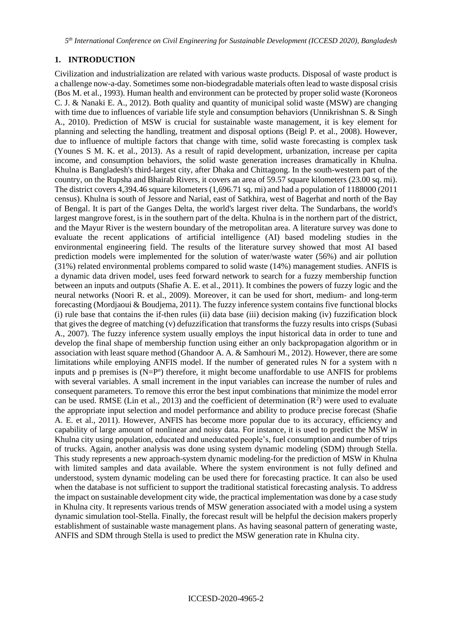### **1. INTRODUCTION**

Civilization and industrialization are related with various waste products. Disposal of waste product is a challenge now-a-day. Sometimes some non-biodegradable materials often lead to waste disposal crisis (Bos M. et al., 1993). Human health and environment can be protected by proper solid waste (Koroneos C. J. & Nanaki E. A., 2012). Both quality and quantity of municipal solid waste (MSW) are changing with time due to influences of variable life style and consumption behaviors (Unnikrishnan S. & Singh A., 2010). Prediction of MSW is crucial for sustainable waste management, it is key element for planning and selecting the handling, treatment and disposal options (Beigl P. et al., 2008). However, due to influence of multiple factors that change with time, solid waste forecasting is complex task (Younes S M. K. et al., 2013). As a result of rapid development, urbanization, increase per capita income, and consumption behaviors, the solid waste generation increases dramatically in Khulna. Khulna is Bangladesh's third-largest city, afte[r](https://en.wikipedia.org/wiki/Dhaka) [Dhaka](https://en.wikipedia.org/wiki/Dhaka) an[d](https://en.wikipedia.org/wiki/Chittagong) [Chittagong.](https://en.wikipedia.org/wiki/Chittagong) In the south-western part of the country, on the [R](https://en.wikipedia.org/wiki/Rupsa_River)upsha and [B](https://en.wikipedia.org/wiki/Bhairab_River)hairab [Rivers,](https://en.wikipedia.org/wiki/Bhairab_River) it covers an area of 59.57 square kilometers (23.00 sq. mi). The [district](https://en.wikipedia.org/wiki/Khulna_District) covers 4,394.46 square kilometers (1,696.71 sq. mi) and had a population of 1188000 (2011 census). Khulna is south of [Jessore](https://en.wikipedia.org/wiki/Jessore_District) an[d](https://en.wikipedia.org/wiki/Narail_District) [Narial,](https://en.wikipedia.org/wiki/Narail_District) east o[f](https://en.wikipedia.org/wiki/Satkhira_District) [Satkhira,](https://en.wikipedia.org/wiki/Satkhira_District) west o[f](https://en.wikipedia.org/wiki/Bagerhat) [Bagerhat](https://en.wikipedia.org/wiki/Bagerhat) [a](https://en.wikipedia.org/wiki/Bagerhat)nd north of th[e](https://en.wikipedia.org/wiki/Bay_of_Bengal) [Bay](https://en.wikipedia.org/wiki/Bay_of_Bengal)  [of Bengal.](https://en.wikipedia.org/wiki/Bay_of_Bengal) It is part of th[e](https://en.wikipedia.org/wiki/Ganges_Delta) [Ganges Delta,](https://en.wikipedia.org/wiki/Ganges_Delta) the world's largest [river delta.](https://en.wikipedia.org/wiki/River_delta) Th[e](https://en.wikipedia.org/wiki/Sundarban) [Sundarbans,](https://en.wikipedia.org/wiki/Sundarban) the world's larges[t](https://en.wikipedia.org/wiki/Mangrove) [mangrove](https://en.wikipedia.org/wiki/Mangrove) [f](https://en.wikipedia.org/wiki/Mangrove)orest, is in the southern part of the delta. Khulna is in the northern part of the district, and th[e](https://en.wikipedia.org/wiki/Mayur_River) [Mayur River](https://en.wikipedia.org/wiki/Mayur_River) is the western boundary of the metropolitan area. A literature survey was done to evaluate the recent applications of artificial intelligence (AI) based modeling studies in the environmental engineering field. The results of the literature survey showed that most AI based prediction models were implemented for the solution of water/waste water (56%) and air pollution (31%) related environmental problems compared to solid waste (14%) management studies. ANFIS is a dynamic data driven model, uses feed forward network to search for a fuzzy membership function between an inputs and outputs (Shafie A. E. et al., 2011). It combines the powers of fuzzy logic and the neural networks (Noori R. et al., 2009). Moreover, it can be used for short, medium- and long-term forecasting (Mordjaoui & Boudjema, 2011). The fuzzy inference system contains five functional blocks (i) rule base that contains the if-then rules (ii) data base (iii) decision making (iv) fuzzification block that gives the degree of matching (v) defuzzification that transforms the fuzzy results into crisps (Subasi A., 2007). The fuzzy inference system usually employs the input historical data in order to tune and develop the final shape of membership function using either an only backpropagation algorithm or in association with least square method (Ghandoor A. A. & Samhouri M., 2012). However, there are some limitations while employing ANFIS model. If the number of generated rules N for a system with n inputs and  $p$  premises is  $(N = P<sup>n</sup>)$  therefore, it might become unaffordable to use ANFIS for problems with several variables. A small increment in the input variables can increase the number of rules and consequent parameters. To remove this error the best input combinations that minimize the model error can be used. RMSE (Lin et al., 2013) and the coefficient of determination  $(R^2)$  were used to evaluate the appropriate input selection and model performance and ability to produce precise forecast (Shafie A. E. et al., 2011). However, ANFIS has become more popular due to its accuracy, efficiency and capability of large amount of nonlinear and noisy data. For instance, it is used to predict the MSW in Khulna city using population, educated and uneducated people's, fuel consumption and number of trips of trucks. Again, another analysis was done using system dynamic modeling (SDM) through Stella. This study represents a new approach-system dynamic modeling-for the prediction of MSW in Khulna with limited samples and data available. Where the system environment is not fully defined and understood, system dynamic modeling can be used there for forecasting practice. It can also be used when the database is not sufficient to support the traditional statistical forecasting analysis. To address the impact on sustainable development city wide, the practical implementation was done by a case study in Khulna city. It represents various trends of MSW generation associated with a model using a system dynamic simulation tool-Stella. Finally, the forecast result will be helpful the decision makers properly establishment of sustainable waste management plans. As having seasonal pattern of generating waste, ANFIS and SDM through Stella is used to predict the MSW generation rate in Khulna city.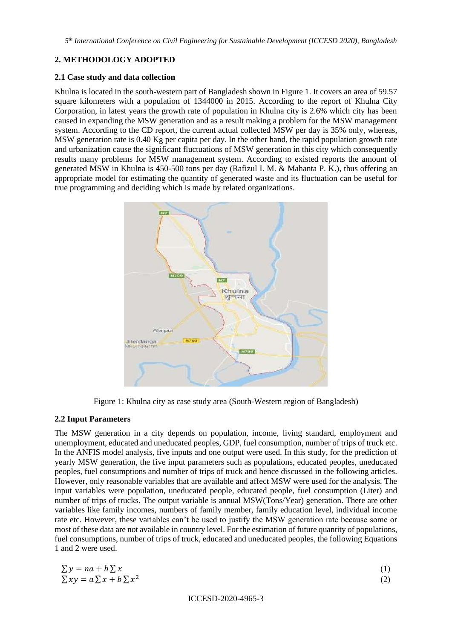# **2. METHODOLOGY ADOPTED**

### **2.1 Case study and data collection**

Khulna is located in the south-western part of Bangladesh shown in Figure 1. It covers an area of 59.57 square kilometers with a population of 1344000 in 2015. According to the report of Khulna City Corporation, in latest years the growth rate of population in Khulna city is 2.6% which city has been caused in expanding the MSW generation and as a result making a problem for the MSW management system. According to the CD report, the current actual collected MSW per day is 35% only, whereas, MSW generation rate is 0.40 Kg per capita per day. In the other hand, the rapid population growth rate and urbanization cause the significant fluctuations of MSW generation in this city which consequently results many problems for MSW management system. According to existed reports the amount of generated MSW in Khulna is 450-500 tons per day (Rafizul I. M. & Mahanta P. K.), thus offering an appropriate model for estimating the quantity of generated waste and its fluctuation can be useful for true programming and deciding which is made by related organizations.



Figure 1: Khulna city as case study area (South-Western region of Bangladesh)

### **2.2 Input Parameters**

The MSW generation in a city depends on population, income, living standard, employment and unemployment, educated and uneducated peoples, GDP, fuel consumption, number of trips of truck etc. In the ANFIS model analysis, five inputs and one output were used. In this study, for the prediction of yearly MSW generation, the five input parameters such as populations, educated peoples, uneducated peoples, fuel consumptions and number of trips of truck and hence discussed in the following articles. However, only reasonable variables that are available and affect MSW were used for the analysis. The input variables were population, uneducated people, educated people, fuel consumption (Liter) and number of trips of trucks. The output variable is annual MSW(Tons/Year) generation. There are other variables like family incomes, numbers of family member, family education level, individual income rate etc. However, these variables can't be used to justify the MSW generation rate because some or most of these data are not available in country level. For the estimation of future quantity of populations, fuel consumptions, number of trips of truck, educated and uneducated peoples, the following Equations 1 and 2 were used.

| $\sum y = na + b \sum x$          |  |
|-----------------------------------|--|
| $\sum xy = a \sum x + b \sum x^2$ |  |

ICCESD-2020-4965-3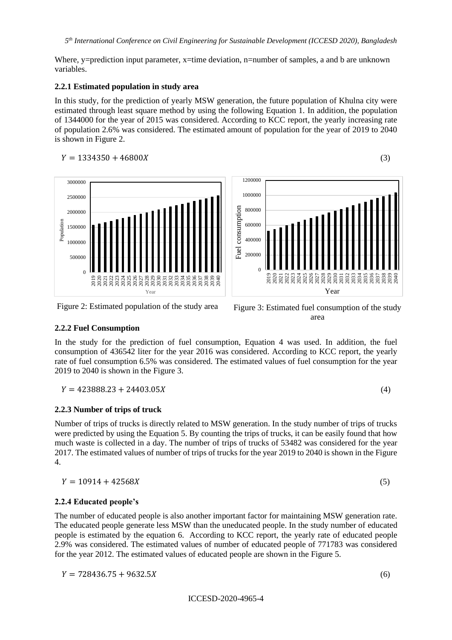Where, y=prediction input parameter, x=time deviation, n=number of samples, a and b are unknown variables.

#### **2.2.1 Estimated population in study area**

In this study, for the prediction of yearly MSW generation, the future population of Khulna city were estimated through least square method by using the following Equation 1. In addition, the population of 1344000 for the year of 2015 was considered. According to KCC report, the yearly increasing rate of population 2.6% was considered. The estimated amount of population for the year of 2019 to 2040 is shown in Figure 2.

$$
Y = 1334350 + 46800X\tag{3}
$$



Year



#### **2.2.2 Fuel Consumption**

 $\boldsymbol{0}$ 

2019 2020 2021 2022 2023 2024 2025 2026 2027 គនី<br>2029<br>2029

500000

Population

In the study for the prediction of fuel consumption, Equation 4 was used. In addition, the fuel consumption of 436542 liter for the year 2016 was considered. According to KCC report, the yearly rate of fuel consumption 6.5% was considered. The estimated values of fuel consumption for the year 2019 to 2040 is shown in the Figure 3.

$$
Y = 423888.23 + 24403.05X\tag{4}
$$

53338<br>2033333333<br>5333333333

### **2.2.3 Number of trips of truck**

Number of trips of trucks is directly related to MSW generation. In the study number of trips of trucks were predicted by using the Equation 5. By counting the trips of trucks, it can be easily found that how much waste is collected in a day. The number of trips of trucks of 53482 was considered for the year 2017. The estimated values of number of trips of trucks for the year 2019 to 2040 is shown in the Figure 4.

$$
Y = 10914 + 42568X\tag{5}
$$

### **2.2.4 Educated people's**

The number of educated people is also another important factor for maintaining MSW generation rate. The educated people generate less MSW than the uneducated people. In the study number of educated people is estimated by the equation 6. According to KCC report, the yearly rate of educated people 2.9% was considered. The estimated values of number of educated people of 771783 was considered for the year 2012. The estimated values of educated people are shown in the Figure 5.

$$
Y = 728436.75 + 9632.5X\tag{6}
$$

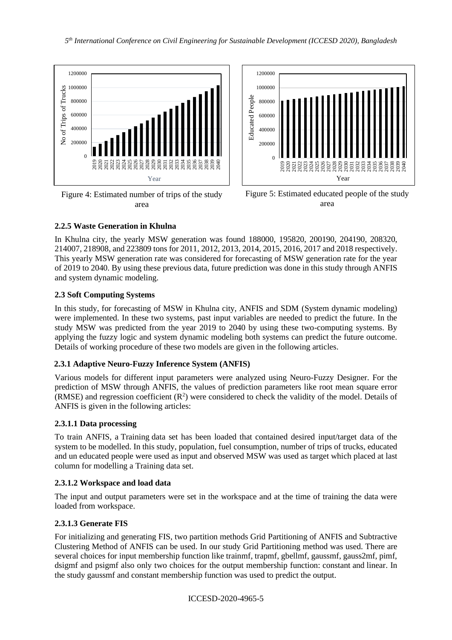

Figure 4: Estimated number of trips of the study area



Figure 5: Estimated educated people of the study area

# **2.2.5 Waste Generation in Khulna**

In Khulna city, the yearly MSW generation was found 188000, 195820, 200190, 204190, 208320, 214007, 218908, and 223809 tons for 2011, 2012, 2013, 2014, 2015, 2016, 2017 and 2018 respectively. This yearly MSW generation rate was considered for forecasting of MSW generation rate for the year of 2019 to 2040. By using these previous data, future prediction was done in this study through ANFIS and system dynamic modeling.

# **2.3 Soft Computing Systems**

In this study, for forecasting of MSW in Khulna city, ANFIS and SDM (System dynamic modeling) were implemented. In these two systems, past input variables are needed to predict the future. In the study MSW was predicted from the year 2019 to 2040 by using these two-computing systems. By applying the fuzzy logic and system dynamic modeling both systems can predict the future outcome. Details of working procedure of these two models are given in the following articles.

# **2.3.1 Adaptive Neuro-Fuzzy Inference System (ANFIS)**

Various models for different input parameters were analyzed using Neuro-Fuzzy Designer. For the prediction of MSW through ANFIS, the values of prediction parameters like root mean square error (RMSE) and regression coefficient  $(R^2)$  were considered to check the validity of the model. Details of ANFIS is given in the following articles:

# **2.3.1.1 Data processing**

To train ANFIS, a Training data set has been loaded that contained desired input/target data of the system to be modelled. In this study, population, fuel consumption, number of trips of trucks, educated and un educated people were used as input and observed MSW was used as target which placed at last column for modelling a Training data set.

# **2.3.1.2 Workspace and load data**

The input and output parameters were set in the workspace and at the time of training the data were loaded from workspace.

# **2.3.1.3 Generate FIS**

For initializing and generating FIS, two partition methods Grid Partitioning of ANFIS and Subtractive Clustering Method of ANFIS can be used. In our study Grid Partitioning method was used. There are several choices for input membership function like trainmf, trapmf, gbellmf, gaussmf, gauss2mf, pimf, dsigmf and psigmf also only two choices for the output membership function: constant and linear. In the study gaussmf and constant membership function was used to predict the output.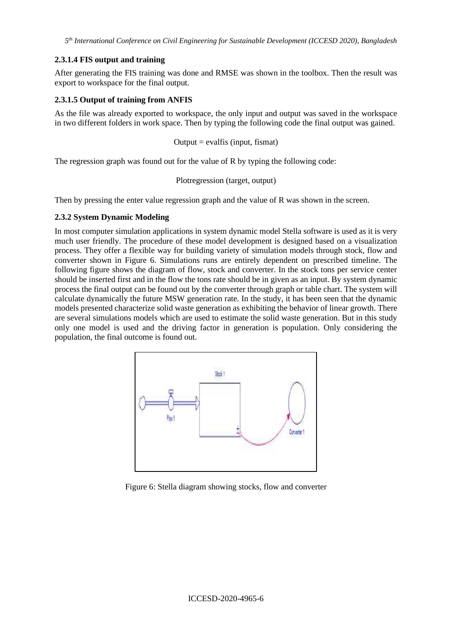*5 th International Conference on Civil Engineering for Sustainable Development (ICCESD 2020), Bangladesh*

## **2.3.1.4 FIS output and training**

After generating the FIS training was done and RMSE was shown in the toolbox. Then the result was export to workspace for the final output.

## **2.3.1.5 Output of training from ANFIS**

As the file was already exported to workspace, the only input and output was saved in the workspace in two different folders in work space. Then by typing the following code the final output was gained.

$$
Output = evalf is (input, fismat)
$$

The regression graph was found out for the value of R by typing the following code:

Plotregression (target, output)

Then by pressing the enter value regression graph and the value of R was shown in the screen.

## **2.3.2 System Dynamic Modeling**

In most computer simulation applications in system dynamic model Stella software is used as it is very much user friendly. The procedure of these model development is designed based on a visualization process. They offer a flexible way for building variety of simulation models through stock, flow and converter shown in Figure 6. Simulations runs are entirely dependent on prescribed timeline. The following figure shows the diagram of flow, stock and converter. In the stock tons per service center should be inserted first and in the flow the tons rate should be in given as an input. By system dynamic process the final output can be found out by the converter through graph or table chart. The system will calculate dynamically the future MSW generation rate. In the study, it has been seen that the dynamic models presented characterize solid waste generation as exhibiting the behavior of linear growth. There are several simulations models which are used to estimate the solid waste generation. But in this study only one model is used and the driving factor in generation is population. Only considering the population, the final outcome is found out.



Figure 6: Stella diagram showing stocks, flow and converter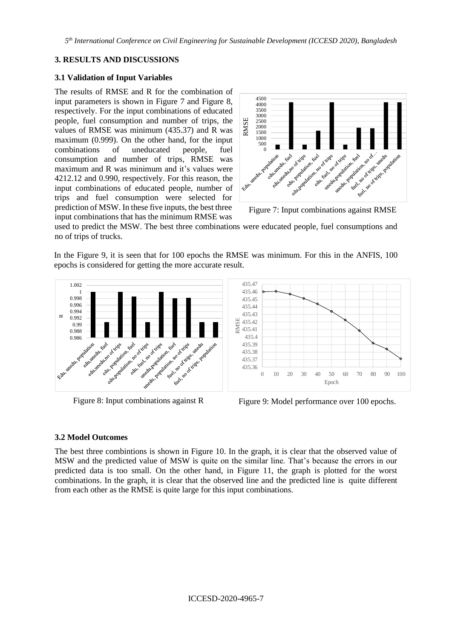*5 th International Conference on Civil Engineering for Sustainable Development (ICCESD 2020), Bangladesh*

## **3. RESULTS AND DISCUSSIONS**

### **3.1 Validation of Input Variables**

The results of RMSE and R for the combination of input parameters is shown in Figure 7 and Figure 8, respectively. For the input combinations of educated people, fuel consumption and number of trips, the values of RMSE was minimum (435.37) and R was maximum (0.999). On the other hand, for the input combinations of uneducated people, fuel consumption and number of trips, RMSE was maximum and R was minimum and it's values were 4212.12 and 0.990, respectively. For this reason, the input combinations of educated people, number of trips and fuel consumption were selected for prediction of MSW. In these five inputs, the best three input combinations that has the minimum RMSE was



Figure 7: Input combinations against RMSE

used to predict the MSW. The best three combinations were educated people, fuel consumptions and no of trips of trucks.

In the Figure 9, it is seen that for 100 epochs the RMSE was minimum. For this in the ANFIS, 100 epochs is considered for getting the more accurate result.





Figure 8: Input combinations against R Figure 9: Model performance over 100 epochs.

# **3.2 Model Outcomes**

The best three combintions is shown in Figure 10. In the graph, it is clear that the observed value of MSW and the predicted value of MSW is quite on the similar line. That's because the errors in our predicted data is too small. On the other hand, in Figure 11, the graph is plotted for the worst combinations. In the graph, it is clear that the observed line and the predicted line is quite different from each other as the RMSE is quite large for this input combinations.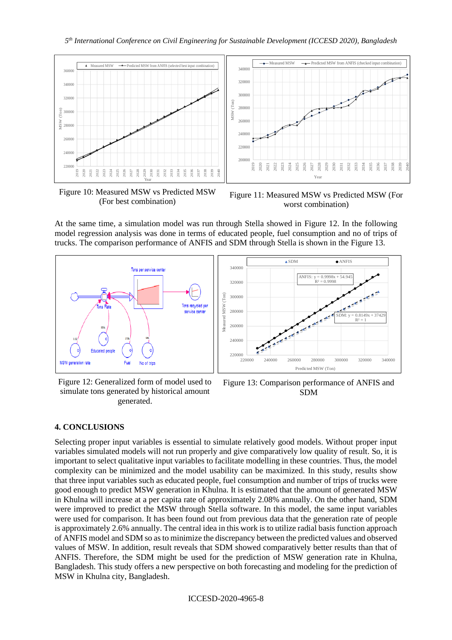

Figure 10: Measured MSW vs Predicted MSW (For best combination)

Figure 11: Measured MSW vs Predicted MSW (For worst combination)

At the same time, a simulation model was run through Stella showed in Figure 12. In the following model regression analysis was done in terms of educated people, fuel consumption and no of trips of trucks. The comparison performance of ANFIS and SDM through Stella is shown in the Figure 13.



Figure 12: Generalized form of model used to simulate tons generated by historical amount generated.



Figure 13: Comparison performance of ANFIS and SDM

# **4. CONCLUSIONS**

Selecting proper input variables is essential to simulate relatively good models. Without proper input variables simulated models will not run properly and give comparatively low quality of result. So, it is important to select qualitative input variables to facilitate modelling in these countries. Thus, the model complexity can be minimized and the model usability can be maximized. In this study, results show that three input variables such as educated people, fuel consumption and number of trips of trucks were good enough to predict MSW generation in Khulna. It is estimated that the amount of generated MSW in Khulna will increase at a per capita rate of approximately 2.08% annually. On the other hand, SDM were improved to predict the MSW through Stella software. In this model, the same input variables were used for comparison. It has been found out from previous data that the generation rate of people is approximately 2.6% annually. The central idea in this work is to utilize radial basis function approach of ANFIS model and SDM so as to minimize the discrepancy between the predicted values and observed values of MSW. In addition, result reveals that SDM showed comparatively better results than that of ANFIS. Therefore, the SDM might be used for the prediction of MSW generation rate in Khulna, Bangladesh. This study offers a new perspective on both forecasting and modeling for the prediction of MSW in Khulna city, Bangladesh.

ICCESD-2020-4965-8